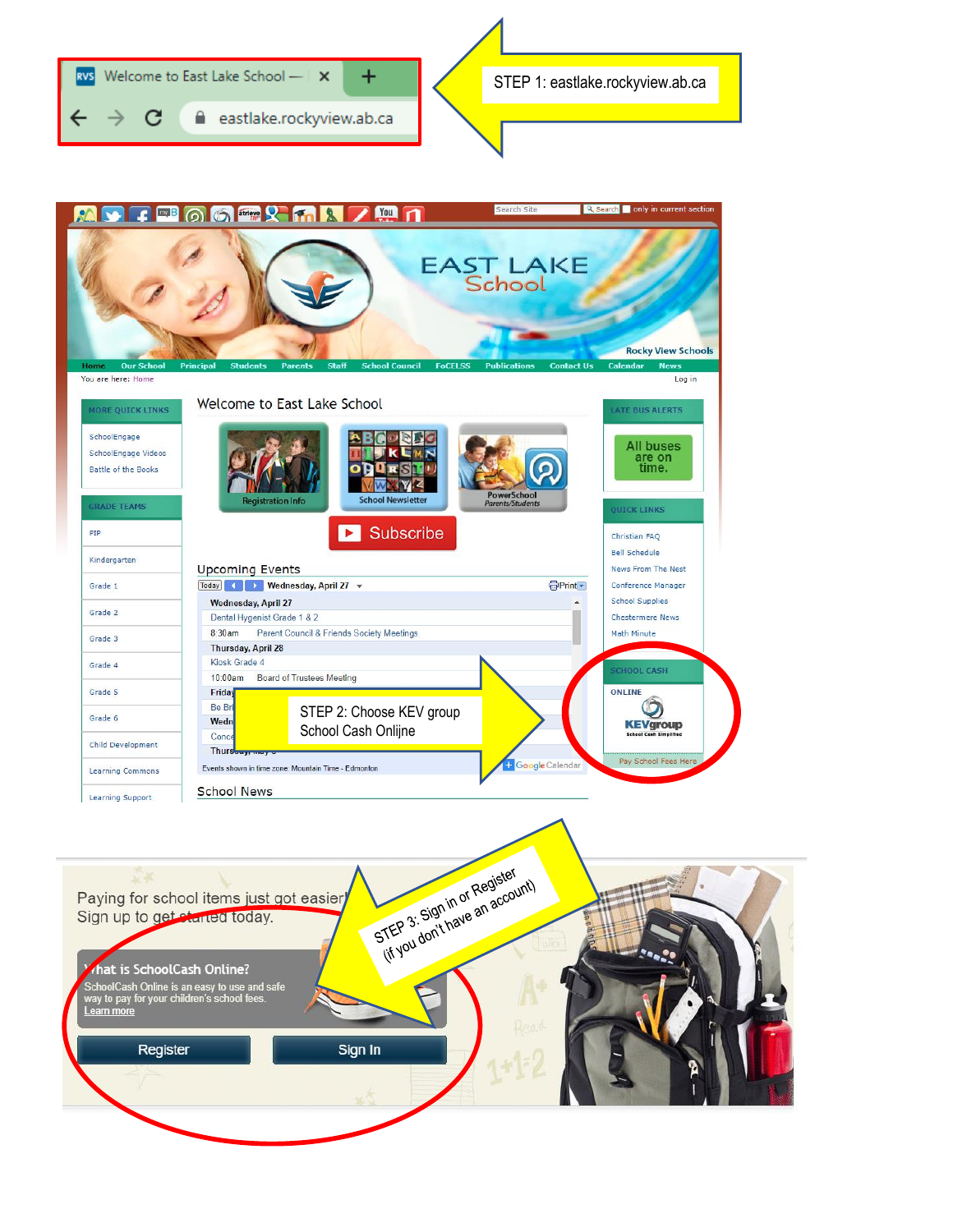

Register